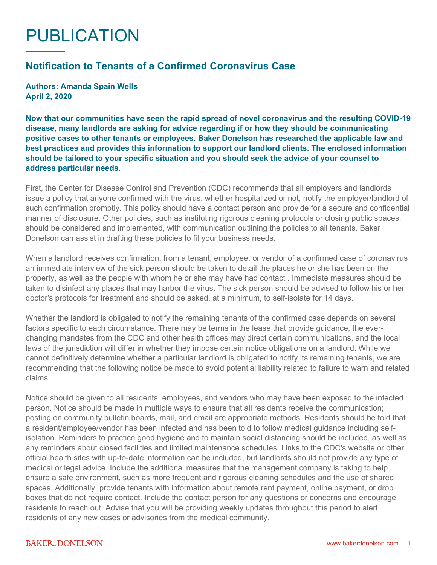## PUBLICATION

## **Notification to Tenants of a Confirmed Coronavirus Case**

**Authors: Amanda Spain Wells April 2, 2020**

**Now that our communities have seen the rapid spread of novel coronavirus and the resulting COVID-19 disease, many landlords are asking for advice regarding if or how they should be communicating positive cases to other tenants or employees. Baker Donelson has researched the applicable law and best practices and provides this information to support our landlord clients. The enclosed information should be tailored to your specific situation and you should seek the advice of your counsel to address particular needs.**

First, the Center for Disease Control and Prevention (CDC) recommends that all employers and landlords issue a policy that anyone confirmed with the virus, whether hospitalized or not, notify the employer/landlord of such confirmation promptly. This policy should have a contact person and provide for a secure and confidential manner of disclosure. Other policies, such as instituting rigorous cleaning protocols or closing public spaces, should be considered and implemented, with communication outlining the policies to all tenants. Baker Donelson can assist in drafting these policies to fit your business needs.

When a landlord receives confirmation, from a tenant, employee, or vendor of a confirmed case of coronavirus an immediate interview of the sick person should be taken to detail the places he or she has been on the property, as well as the people with whom he or she may have had contact . Immediate measures should be taken to disinfect any places that may harbor the virus. The sick person should be advised to follow his or her doctor's protocols for treatment and should be asked, at a minimum, to self-isolate for 14 days.

Whether the landlord is obligated to notify the remaining tenants of the confirmed case depends on several factors specific to each circumstance. There may be terms in the lease that provide guidance, the everchanging mandates from the CDC and other health offices may direct certain communications, and the local laws of the jurisdiction will differ in whether they impose certain notice obligations on a landlord. While we cannot definitively determine whether a particular landlord is obligated to notify its remaining tenants, we are recommending that the following notice be made to avoid potential liability related to failure to warn and related claims.

Notice should be given to all residents, employees, and vendors who may have been exposed to the infected person. Notice should be made in multiple ways to ensure that all residents receive the communication; posting on community bulletin boards, mail, and email are appropriate methods. Residents should be told that a resident/employee/vendor has been infected and has been told to follow medical guidance including selfisolation. Reminders to practice good hygiene and to maintain social distancing should be included, as well as any reminders about closed facilities and limited maintenance schedules. Links to the CDC's website or other official health sites with up-to-date information can be included, but landlords should not provide any type of medical or legal advice. Include the additional measures that the management company is taking to help ensure a safe environment, such as more frequent and rigorous cleaning schedules and the use of shared spaces. Additionally, provide tenants with information about remote rent payment, online payment, or drop boxes that do not require contact. Include the contact person for any questions or concerns and encourage residents to reach out. Advise that you will be providing weekly updates throughout this period to alert residents of any new cases or advisories from the medical community.